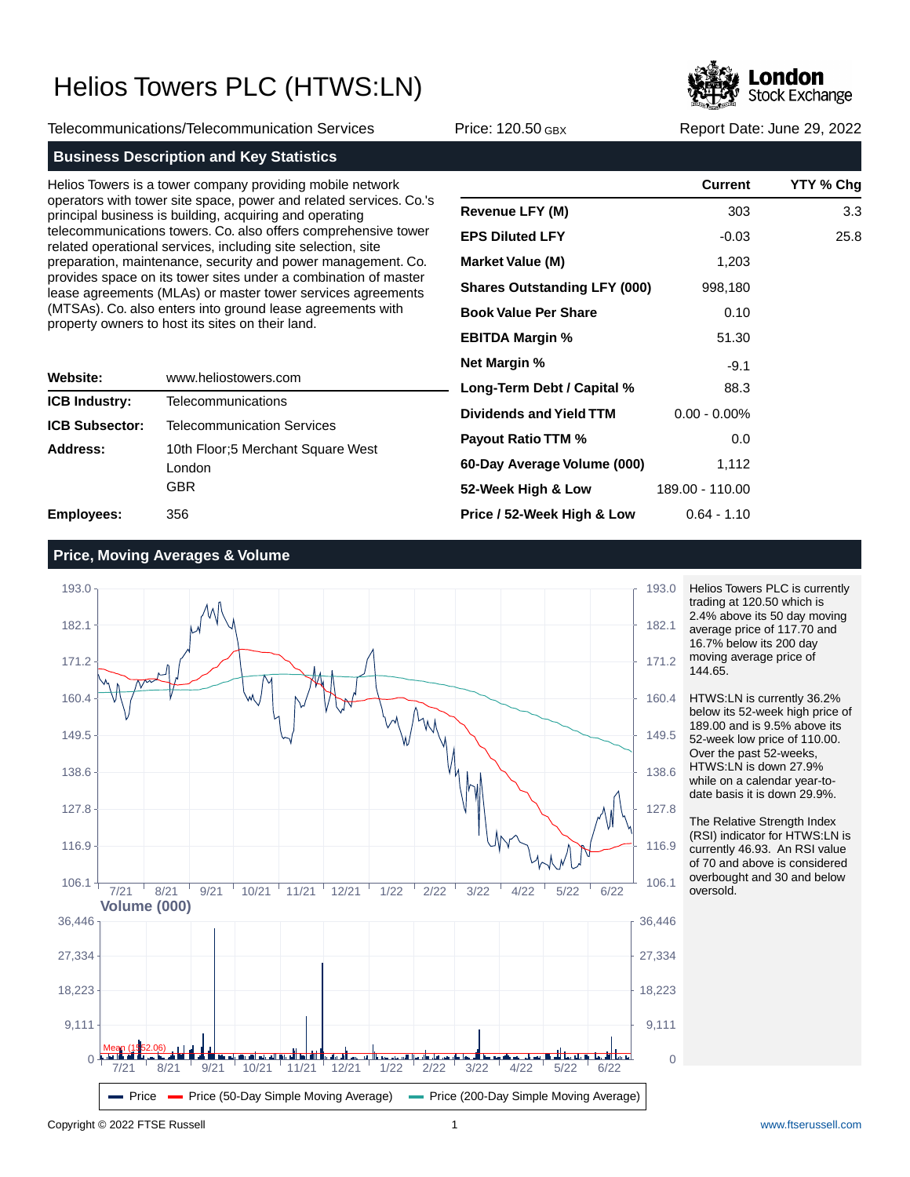

Telecommunications/Telecommunication Services Price: 120.50 GBX Report Date: June 29, 2022

### **Business Description and Key Statistics**

Helios Towers is a tower company providing mobile network operators with tower site space, power and related services. Co.'s principal business is building, acquiring and operating telecommunications towers. Co. also offers comprehensive tower related operational services, including site selection, site preparation, maintenance, security and power management. Co. provides space on its tower sites under a combination of master lease agreements (MLAs) or master tower services agreements (MTSAs). Co. also enters into ground lease agreements with property owners to host its sites on their land.

| Website:              | www.heliostowers.com                               |  |
|-----------------------|----------------------------------------------------|--|
| <b>ICB Industry:</b>  | Telecommunications                                 |  |
| <b>ICB Subsector:</b> | <b>Telecommunication Services</b>                  |  |
| Address:              | 10th Floor:5 Merchant Square West<br>London<br>GBR |  |
| Employees:            | 356                                                |  |

|                                     | Current         | YTY % Chg |
|-------------------------------------|-----------------|-----------|
| <b>Revenue LFY (M)</b>              | 303             | 3.3       |
| <b>EPS Diluted LFY</b>              | $-0.03$         | 25.8      |
| <b>Market Value (M)</b>             | 1,203           |           |
| <b>Shares Outstanding LFY (000)</b> | 998,180         |           |
| <b>Book Value Per Share</b>         | 0.10            |           |
| <b>EBITDA Margin %</b>              | 51.30           |           |
| Net Margin %                        | $-9.1$          |           |
| Long-Term Debt / Capital %          | 88.3            |           |
| Dividends and Yield TTM             | $0.00 - 0.00\%$ |           |
| <b>Payout Ratio TTM %</b>           | 0.0             |           |
| 60-Day Average Volume (000)         | 1,112           |           |
| 52-Week High & Low                  | 189.00 - 110.00 |           |
| Price / 52-Week High & Low          | 0.64 - 1.10     |           |

### **Price, Moving Averages & Volume**



Helios Towers PLC is currently trading at 120.50 which is 2.4% above its 50 day moving average price of 117.70 and 16.7% below its 200 day moving average price of 144.65.

HTWS:LN is currently 36.2% below its 52-week high price of 189.00 and is 9.5% above its 52-week low price of 110.00. Over the past 52-weeks, HTWS:LN is down 27.9% while on a calendar year-todate basis it is down 29.9%.

The Relative Strength Index (RSI) indicator for HTWS:LN is currently 46.93. An RSI value of 70 and above is considered overbought and 30 and below oversold.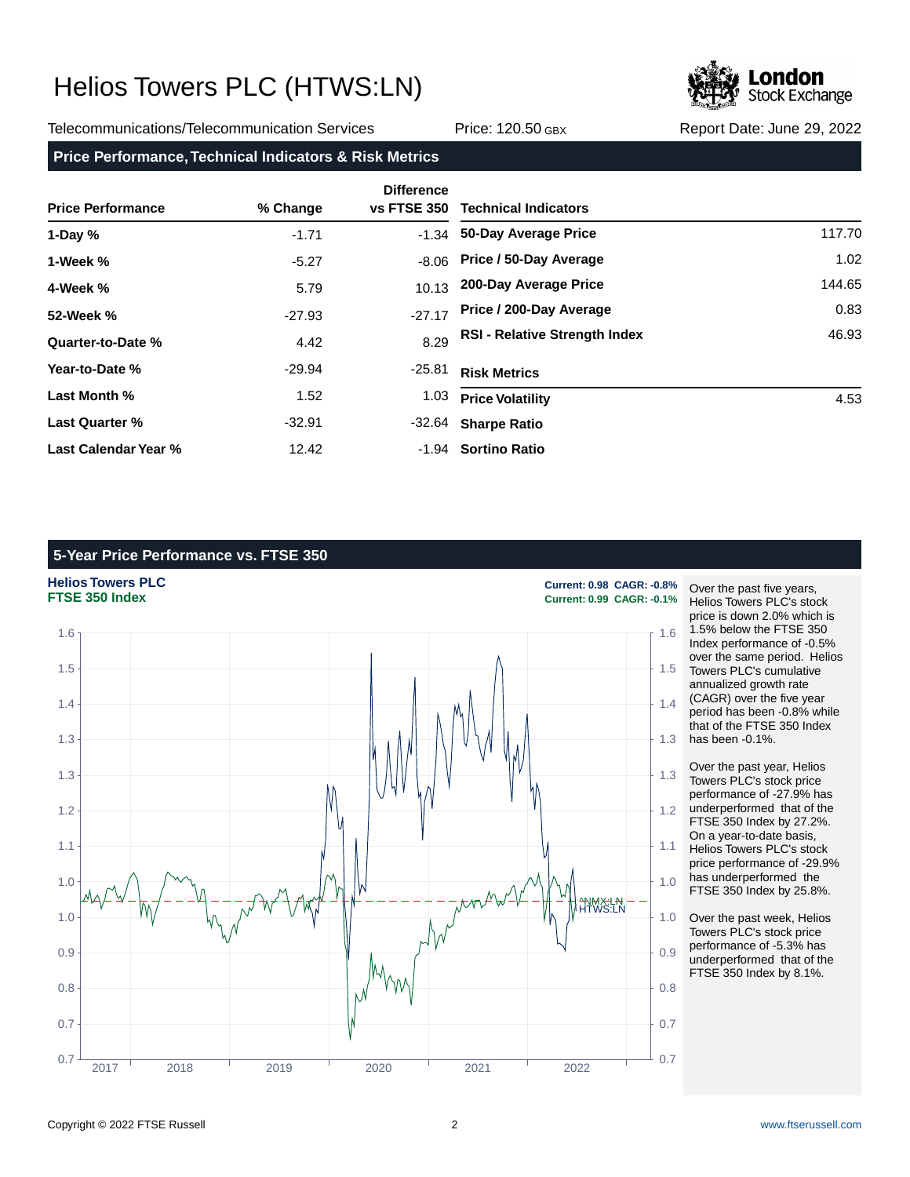

Telecommunications/Telecommunication Services Price: 120.50 GBX Report Date: June 29, 2022

### **Price Performance, Technical Indicators & Risk Metrics**

| <b>Price Performance</b> | % Change | <b>Difference</b><br><b>vs FTSE 350</b> | <b>Technical Indicators</b>          |        |
|--------------------------|----------|-----------------------------------------|--------------------------------------|--------|
| 1-Day $%$                | $-1.71$  | $-1.34$                                 | 50-Day Average Price                 | 117.70 |
| 1-Week %                 | $-5.27$  | $-8.06$                                 | Price / 50-Day Average               | 1.02   |
| 4-Week %                 | 5.79     | 10.13                                   | 200-Day Average Price                | 144.65 |
| 52-Week %                | $-27.93$ | $-27.17$                                | Price / 200-Day Average              | 0.83   |
| Quarter-to-Date %        | 4.42     | 8.29                                    | <b>RSI - Relative Strength Index</b> | 46.93  |
| Year-to-Date %           | $-29.94$ | $-25.81$                                | <b>Risk Metrics</b>                  |        |
| Last Month %             | 1.52     | 1.03                                    | <b>Price Volatility</b>              | 4.53   |
| <b>Last Quarter %</b>    | $-32.91$ | -32.64                                  | <b>Sharpe Ratio</b>                  |        |
| Last Calendar Year %     | 12.42    | -1.94                                   | <b>Sortino Ratio</b>                 |        |

## **5-Year Price Performance vs. FTSE 350**



Over the past five years, Helios Towers PLC's stock price is down 2.0% which is 1.5% below the FTSE 350 Index performance of -0.5% over the same period. Helios Towers PLC's cumulative annualized growth rate (CAGR) over the five year period has been -0.8% while that of the FTSE 350 Index has been -0.1%.

Over the past year, Helios Towers PLC's stock price performance of -27.9% has underperformed that of the FTSE 350 Index by 27.2%. On a year-to-date basis, Helios Towers PLC's stock price performance of -29.9% has underperformed the FTSE 350 Index by 25.8%.

Over the past week, Helios Towers PLC's stock price performance of -5.3% has underperformed that of the FTSE 350 Index by 8.1%.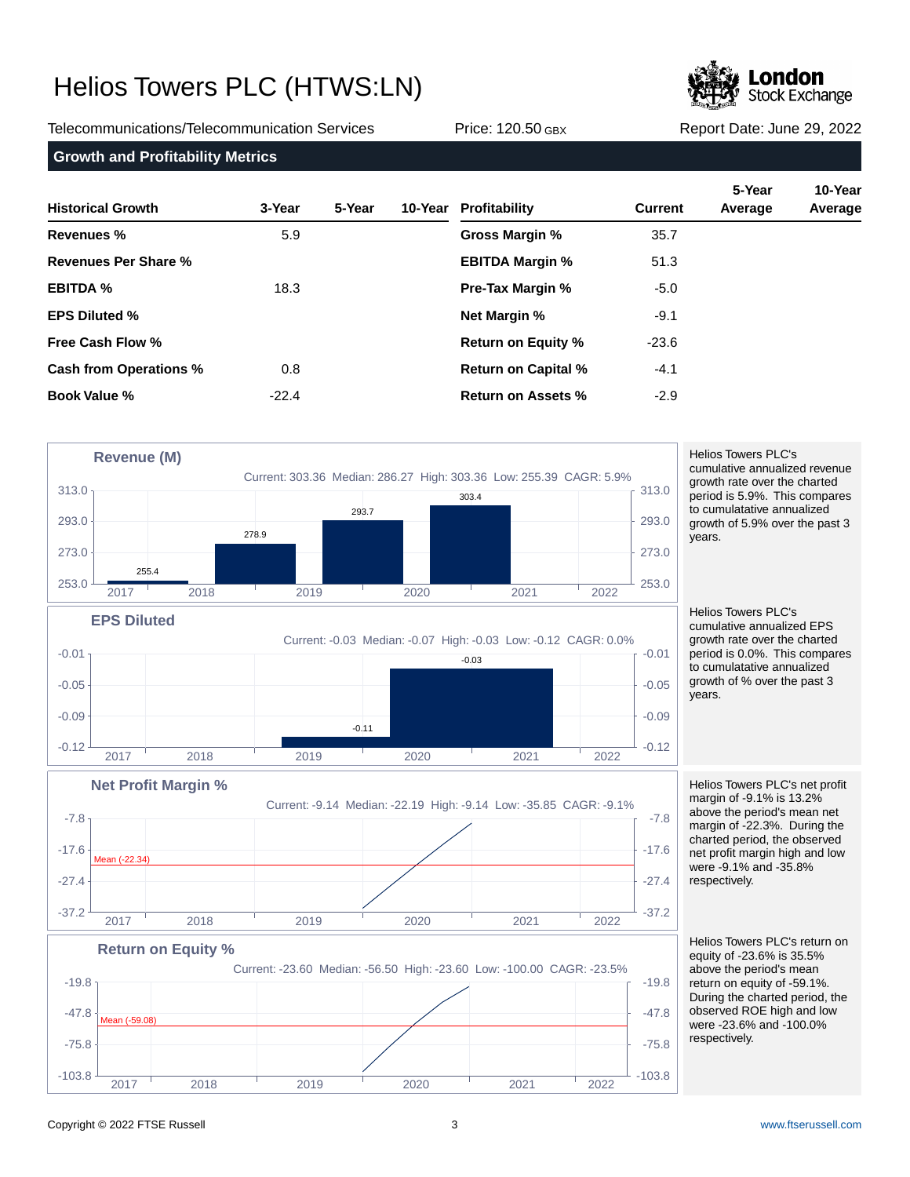**Stock Exchange** 

Telecommunications/Telecommunication Services Price: 120.50 GBX Report Date: June 29, 2022

**Growth and Profitability Metrics**

| <b>Historical Growth</b>      | 3-Year  | 5-Year | 10-Year Profitability      | <b>Current</b> | 5-Year<br>Average | 10-Year<br>Average |
|-------------------------------|---------|--------|----------------------------|----------------|-------------------|--------------------|
| Revenues %                    | 5.9     |        | Gross Margin %             | 35.7           |                   |                    |
| Revenues Per Share %          |         |        | <b>EBITDA Margin %</b>     | 51.3           |                   |                    |
| <b>EBITDA %</b>               | 18.3    |        | <b>Pre-Tax Margin %</b>    | $-5.0$         |                   |                    |
| <b>EPS Diluted %</b>          |         |        | <b>Net Margin %</b>        | $-9.1$         |                   |                    |
| <b>Free Cash Flow %</b>       |         |        | <b>Return on Equity %</b>  | $-23.6$        |                   |                    |
| <b>Cash from Operations %</b> | 0.8     |        | <b>Return on Capital %</b> | $-4.1$         |                   |                    |
| <b>Book Value %</b>           | $-22.4$ |        | Return on Assets %         | $-2.9$         |                   |                    |



Helios Towers PLC's cumulative annualized revenue growth rate over the charted period is 5.9%. This compares to cumulatative annualized growth of 5.9% over the past 3 years.

Helios Towers PLC's cumulative annualized EPS growth rate over the charted period is 0.0%. This compares to cumulatative annualized growth of % over the past 3 years.





Helios Towers PLC's return on equity of -23.6% is 35.5% above the period's mean return on equity of -59.1%. During the charted period, the observed ROE high and low were -23.6% and -100.0% respectively.

**Net Profit Margin %**

fean (-22.34)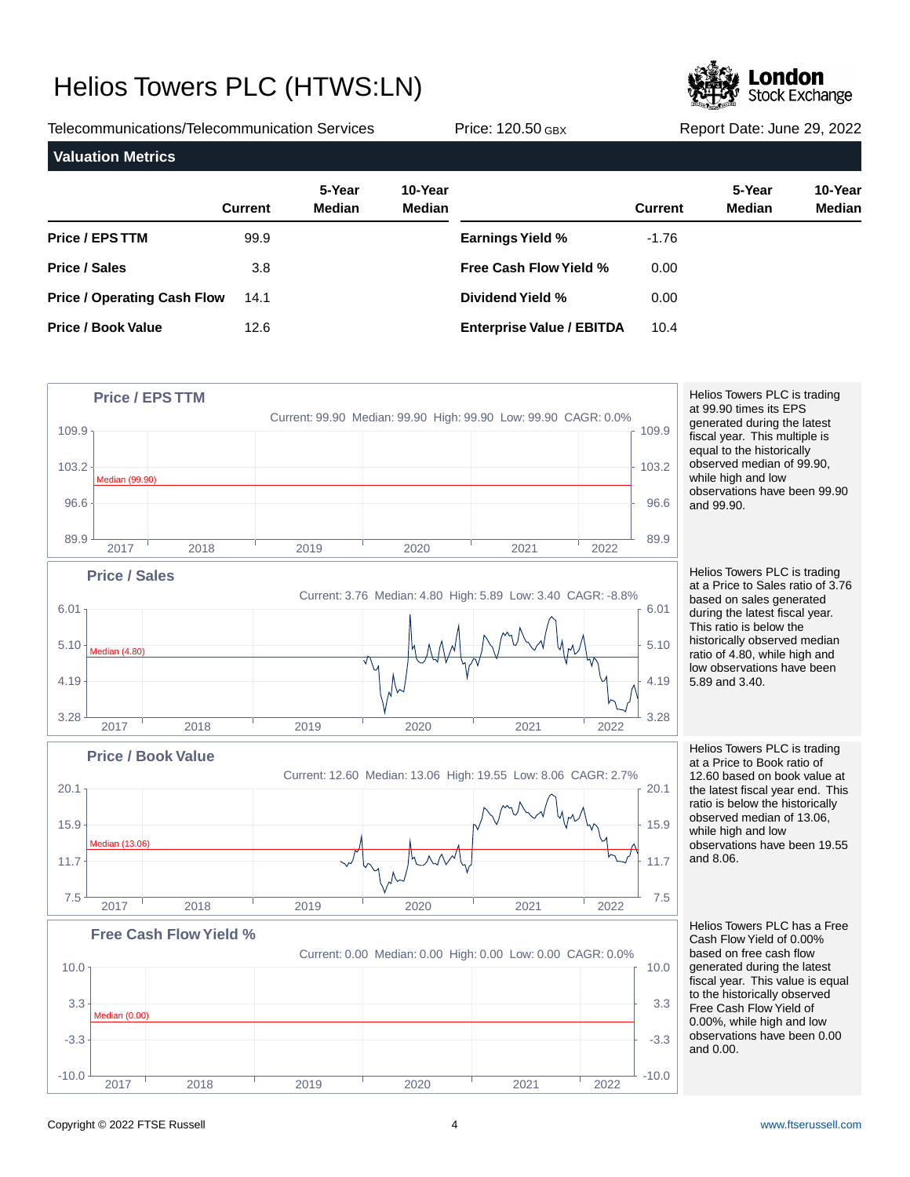**Stock Exchange** 

Telecommunications/Telecommunication Services Price: 120.50 GBX Report Date: June 29, 2022 **Valuation Metrics 5-Year 10-Year Current Median Median Price / EPS TTM Price / Sales Price / Operating Cash Flow Price / Book Value 5-Year 10-Year Current Median Median Earnings Yield % Free Cash Flow Yield % Dividend Yield % Enterprise Value / EBITDA** 99.9 3.8 14.1 12.6 -1.76 0.00 0.00 10.4

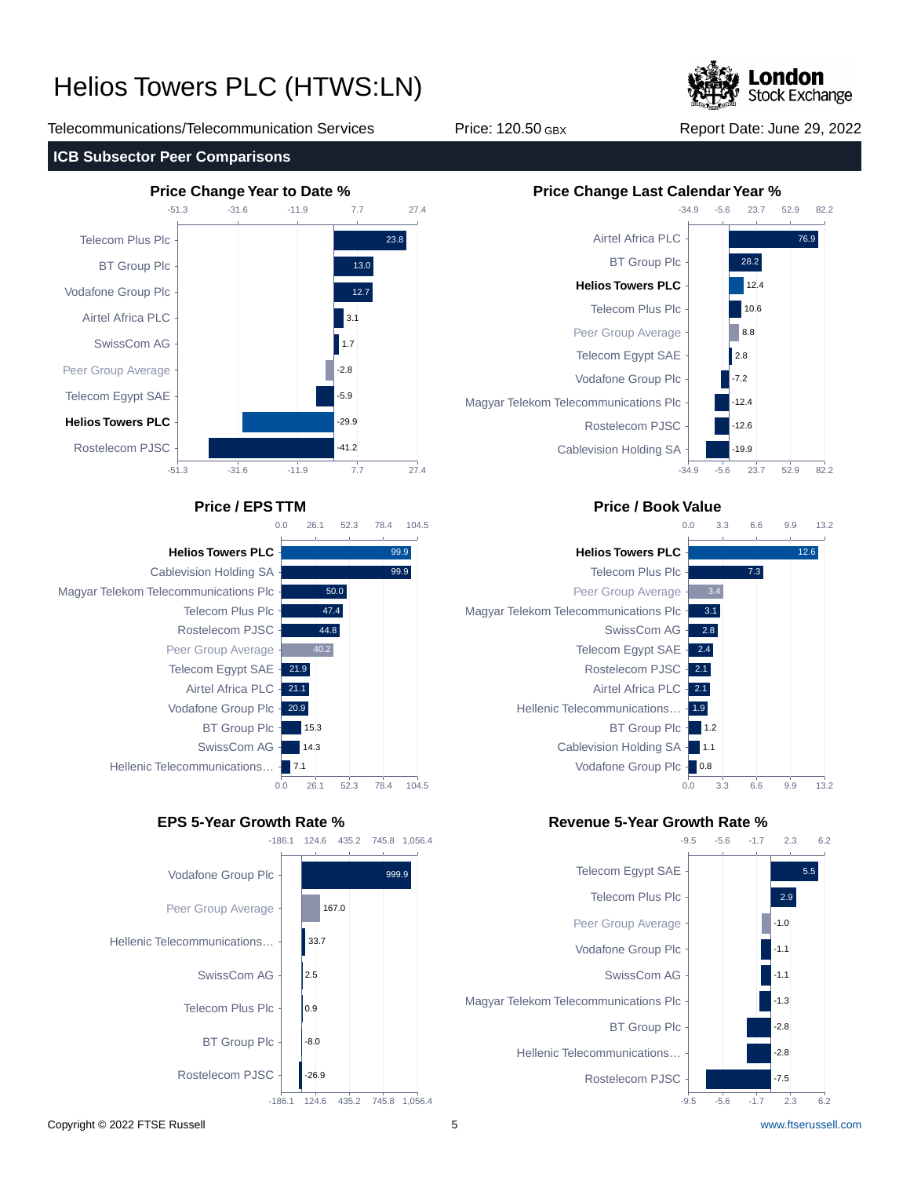

Stock Exchange

**ICB Subsector Peer Comparisons**











## **Price / EPS TTM Price / Book Value**



## **EPS 5-Year Growth Rate % Revenue 5-Year Growth Rate %**

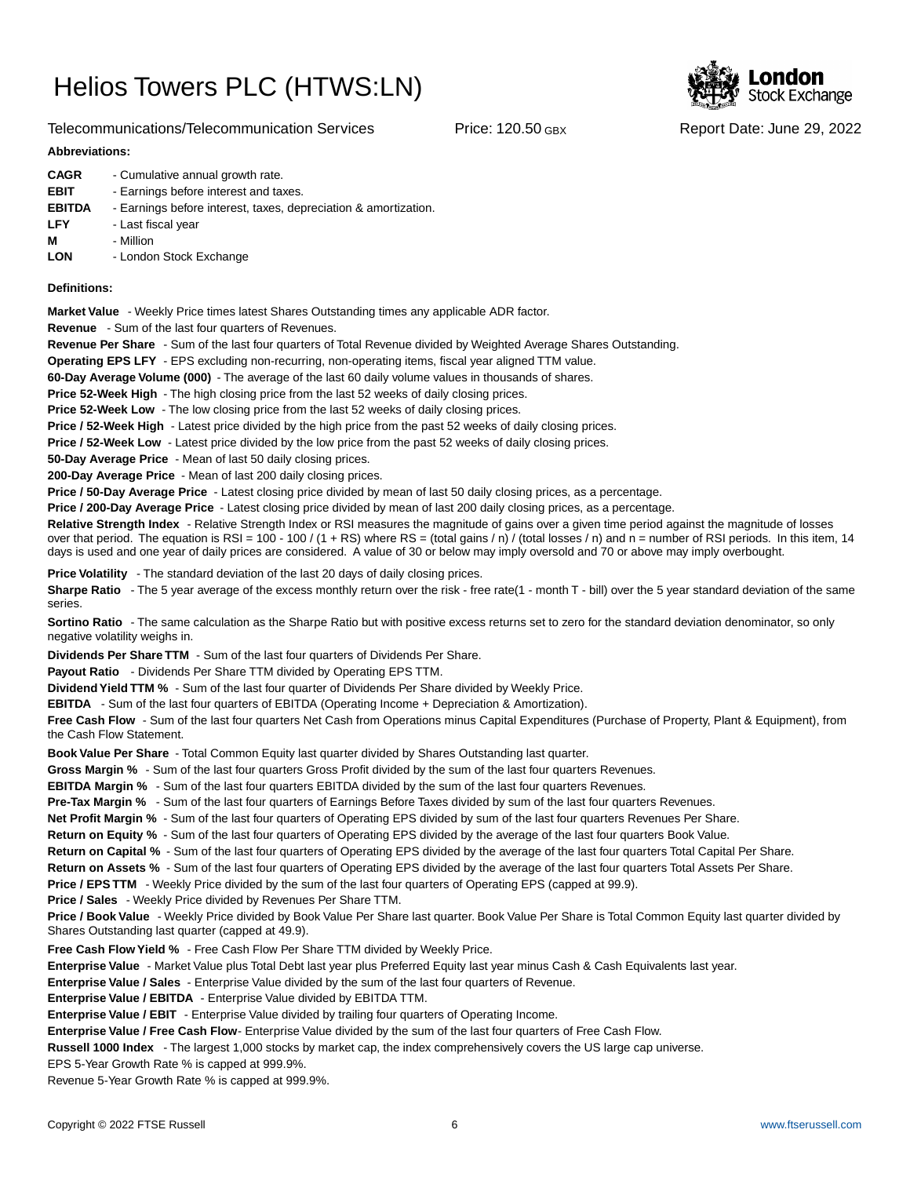

### Telecommunications/Telecommunication Services Price: 120.50 GBX Report Date: June 29, 2022

### **Abbreviations:**

| <b>CAGR</b>   | - Cumulative annual growth rate.                                |
|---------------|-----------------------------------------------------------------|
| <b>EBIT</b>   | - Earnings before interest and taxes.                           |
| <b>EBITDA</b> | - Earnings before interest, taxes, depreciation & amortization. |
| <b>LFY</b>    | - Last fiscal year                                              |
| м             | - Million                                                       |
| <b>LON</b>    | - London Stock Exchange                                         |

### **Definitions:**

**Market Value** - Weekly Price times latest Shares Outstanding times any applicable ADR factor.

**Revenue** - Sum of the last four quarters of Revenues.

**Revenue Per Share** - Sum of the last four quarters of Total Revenue divided by Weighted Average Shares Outstanding.

**Operating EPS LFY** - EPS excluding non-recurring, non-operating items, fiscal year aligned TTM value.

60-Day Average Volume (000) - The average of the last 60 daily volume values in thousands of shares.

**Price 52-Week High** - The high closing price from the last 52 weeks of daily closing prices.

**Price 52-Week Low** - The low closing price from the last 52 weeks of daily closing prices.

**Price / 52-Week High** - Latest price divided by the high price from the past 52 weeks of daily closing prices.

**Price / 52-Week Low** - Latest price divided by the low price from the past 52 weeks of daily closing prices.

**50-Day Average Price** - Mean of last 50 daily closing prices.

**200-Day Average Price** - Mean of last 200 daily closing prices.

Price / 50-Day Average Price - Latest closing price divided by mean of last 50 daily closing prices, as a percentage.

**Price / 200-Day Average Price** - Latest closing price divided by mean of last 200 daily closing prices, as a percentage.

Relative Strength Index - Relative Strength Index or RSI measures the magnitude of gains over a given time period against the magnitude of losses over that period. The equation is RSI = 100 - 100 / (1 + RS) where RS = (total gains / n) / (total losses / n) and n = number of RSI periods. In this item, 14 days is used and one year of daily prices are considered. A value of 30 or below may imply oversold and 70 or above may imply overbought.

**Price Volatility** - The standard deviation of the last 20 days of daily closing prices.

Sharpe Ratio - The 5 year average of the excess monthly return over the risk - free rate(1 - month T - bill) over the 5 year standard deviation of the same series.

**Sortino Ratio** - The same calculation as the Sharpe Ratio but with positive excess returns set to zero for the standard deviation denominator, so only negative volatility weighs in.

**Dividends Per Share TTM** - Sum of the last four quarters of Dividends Per Share.

Payout Ratio - Dividends Per Share TTM divided by Operating EPS TTM.

**Dividend Yield TTM %** - Sum of the last four quarter of Dividends Per Share divided by Weekly Price.

**EBITDA** - Sum of the last four quarters of EBITDA (Operating Income + Depreciation & Amortization).

**Free Cash Flow** - Sum of the last four quarters Net Cash from Operations minus Capital Expenditures (Purchase of Property, Plant & Equipment), from the Cash Flow Statement.

**Book Value Per Share** - Total Common Equity last quarter divided by Shares Outstanding last quarter.

**Gross Margin %** - Sum of the last four quarters Gross Profit divided by the sum of the last four quarters Revenues.

**EBITDA Margin %** - Sum of the last four quarters EBITDA divided by the sum of the last four quarters Revenues.

**Pre-Tax Margin %** - Sum of the last four quarters of Earnings Before Taxes divided by sum of the last four quarters Revenues.

**Net Profit Margin %** - Sum of the last four quarters of Operating EPS divided by sum of the last four quarters Revenues Per Share.

**Return on Equity %** - Sum of the last four quarters of Operating EPS divided by the average of the last four quarters Book Value.

**Return on Capital %** - Sum of the last four quarters of Operating EPS divided by the average of the last four quarters Total Capital Per Share.

**Return on Assets %** - Sum of the last four quarters of Operating EPS divided by the average of the last four quarters Total Assets Per Share.

**Price / EPS TTM** - Weekly Price divided by the sum of the last four quarters of Operating EPS (capped at 99.9).

**Price / Sales** - Weekly Price divided by Revenues Per Share TTM.

**Price / Book Value** - Weekly Price divided by Book Value Per Share last quarter. Book Value Per Share is Total Common Equity last quarter divided by Shares Outstanding last quarter (capped at 49.9).

**Free Cash Flow Yield %** - Free Cash Flow Per Share TTM divided by Weekly Price.

Enterprise Value - Market Value plus Total Debt last year plus Preferred Equity last year minus Cash & Cash Equivalents last year.

**Enterprise Value / Sales** - Enterprise Value divided by the sum of the last four quarters of Revenue.

**Enterprise Value / EBITDA** - Enterprise Value divided by EBITDA TTM.

**Enterprise Value / EBIT** - Enterprise Value divided by trailing four quarters of Operating Income.

Enterprise Value / Free Cash Flow- Enterprise Value divided by the sum of the last four quarters of Free Cash Flow.

**Russell 1000 Index** - The largest 1,000 stocks by market cap, the index comprehensively covers the US large cap universe.

EPS 5-Year Growth Rate % is capped at 999.9%.

Revenue 5-Year Growth Rate % is capped at 999.9%.